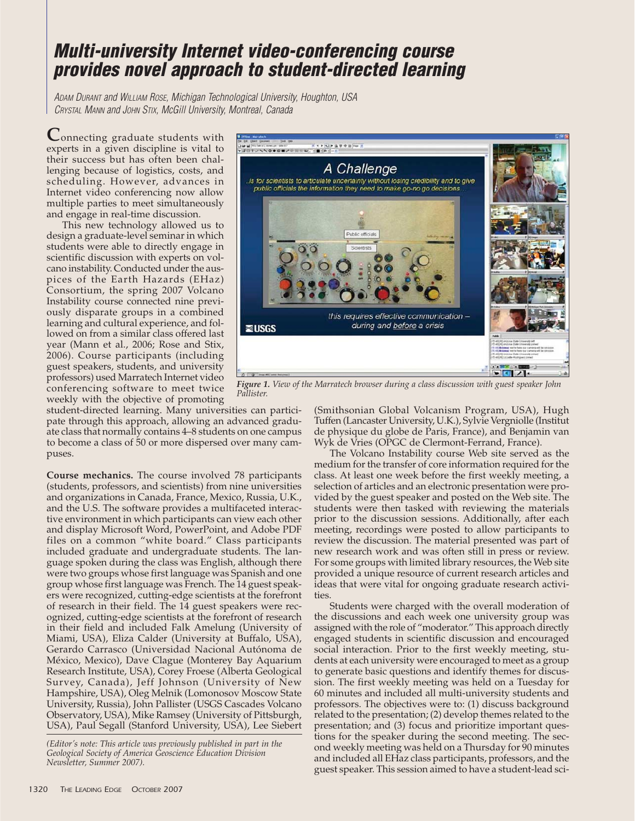## **Multi-university Internet video-conferencing course provides novel approach to student-directed learning**

ADAM DURANT and WILLIAM ROSE, Michigan Technological University, Houghton, USA CRYSTAL MANN and JOHN STIX, McGill University, Montreal, Canada

**C**onnecting graduate students with experts in a given discipline is vital to their success but has often been challenging because of logistics, costs, and scheduling. However, advances in Internet video conferencing now allow multiple parties to meet simultaneously and engage in real-time discussion.

This new technology allowed us to design a graduate-level seminar in which students were able to directly engage in scientific discussion with experts on volcano instability. Conducted under the auspices of the Earth Hazards (EHaz) Consortium, the spring 2007 Volcano Instability course connected nine previously disparate groups in a combined learning and cultural experience, and followed on from a similar class offered last year (Mann et al., 2006; Rose and Stix, 2006). Course participants (including guest speakers, students, and university professors) used Marratech Internet video conferencing software to meet twice weekly with the objective of promoting

student-directed learning. Many universities can participate through this approach, allowing an advanced graduate class that normally contains 4–8 students on one campus to become a class of 50 or more dispersed over many campuses.

**Course mechanics.** The course involved 78 participants (students, professors, and scientists) from nine universities and organizations in Canada, France, Mexico, Russia, U.K., and the U.S. The software provides a multifaceted interactive environment in which participants can view each other and display Microsoft Word, PowerPoint, and Adobe PDF files on a common "white board." Class participants included graduate and undergraduate students. The language spoken during the class was English, although there were two groups whose first language was Spanish and one group whose first language was French. The 14 guest speakers were recognized, cutting-edge scientists at the forefront of research in their field. The 14 guest speakers were recognized, cutting-edge scientists at the forefront of research in their field and included Falk Amelung (University of Miami, USA), Eliza Calder (University at Buffalo, USA), Gerardo Carrasco (Universidad Nacional Autónoma de México, Mexico), Dave Clague (Monterey Bay Aquarium Research Institute, USA), Corey Froese (Alberta Geological Survey, Canada), Jeff Johnson (University of New Hampshire, USA), Oleg Melnik (Lomonosov Moscow State University, Russia), John Pallister (USGS Cascades Volcano Observatory, USA), Mike Ramsey (University of Pittsburgh, USA), Paul Segall (Stanford University, USA), Lee Siebert



*Figure 1. View of the Marratech browser during a class discussion with guest speaker John Pallister.*

(Smithsonian Global Volcanism Program, USA), Hugh Tuffen (Lancaster University, U.K.), Sylvie Vergniolle (Institut de physique du globe de Paris, France), and Benjamin van Wyk de Vries (OPGC de Clermont-Ferrand, France).

The Volcano Instability course Web site served as the medium for the transfer of core information required for the class. At least one week before the first weekly meeting, a selection of articles and an electronic presentation were provided by the guest speaker and posted on the Web site. The students were then tasked with reviewing the materials prior to the discussion sessions. Additionally, after each meeting, recordings were posted to allow participants to review the discussion. The material presented was part of new research work and was often still in press or review. For some groups with limited library resources, the Web site provided a unique resource of current research articles and ideas that were vital for ongoing graduate research activities.

Students were charged with the overall moderation of the discussions and each week one university group was assigned with the role of "moderator." This approach directly engaged students in scientific discussion and encouraged social interaction. Prior to the first weekly meeting, students at each university were encouraged to meet as a group to generate basic questions and identify themes for discussion. The first weekly meeting was held on a Tuesday for 60 minutes and included all multi-university students and professors. The objectives were to: (1) discuss background related to the presentation; (2) develop themes related to the presentation; and (3) focus and prioritize important questions for the speaker during the second meeting. The second weekly meeting was held on a Thursday for 90 minutes and included all EHaz class participants, professors, and the guest speaker. This session aimed to have a student-lead sci-

*<sup>(</sup>Editor's note: This article was previously published in part in the Geological Society of America Geoscience Education Division Newsletter, Summer 2007).*